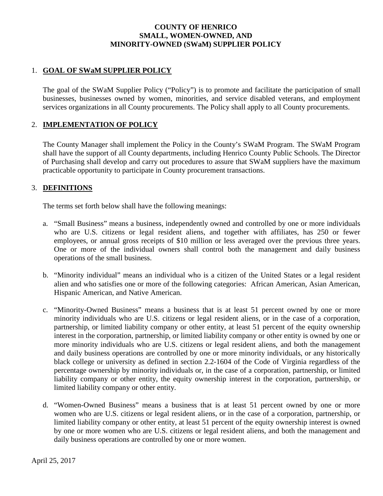# **COUNTY OF HENRICO SMALL, WOMEN-OWNED, AND MINORITY-OWNED (SWaM) SUPPLIER POLICY**

# 1. **GOAL OF SWaM SUPPLIER POLICY**

The goal of the SWaM Supplier Policy ("Policy") is to promote and facilitate the participation of small businesses, businesses owned by women, minorities, and service disabled veterans, and employment services organizations in all County procurements. The Policy shall apply to all County procurements.

# 2. **IMPLEMENTATION OF POLICY**

The County Manager shall implement the Policy in the County's SWaM Program. The SWaM Program shall have the support of all County departments, including Henrico County Public Schools. The Director of Purchasing shall develop and carry out procedures to assure that SWaM suppliers have the maximum practicable opportunity to participate in County procurement transactions.

# 3. **DEFINITIONS**

The terms set forth below shall have the following meanings:

- a. "Small Business" means a business, independently owned and controlled by one or more individuals who are U.S. citizens or legal resident aliens, and together with affiliates, has 250 or fewer employees, or annual gross receipts of \$10 million or less averaged over the previous three years. One or more of the individual owners shall control both the management and daily business operations of the small business.
- b. "Minority individual" means an individual who is a citizen of the United States or a legal resident alien and who satisfies one or more of the following categories: African American, Asian American, Hispanic American, and Native American.
- c. "Minority-Owned Business" means a business that is at least 51 percent owned by one or more minority individuals who are U.S. citizens or legal resident aliens, or in the case of a corporation, partnership, or limited liability company or other entity, at least 51 percent of the equity ownership interest in the corporation, partnership, or limited liability company or other entity is owned by one or more minority individuals who are U.S. citizens or legal resident aliens, and both the management and daily business operations are controlled by one or more minority individuals, or any historically black college or university as defined in section 2.2-1604 of the Code of Virginia regardless of the percentage ownership by minority individuals or, in the case of a corporation, partnership, or limited liability company or other entity, the equity ownership interest in the corporation, partnership, or limited liability company or other entity.
- d. "Women-Owned Business" means a business that is at least 51 percent owned by one or more women who are U.S. citizens or legal resident aliens, or in the case of a corporation, partnership, or limited liability company or other entity, at least 51 percent of the equity ownership interest is owned by one or more women who are U.S. citizens or legal resident aliens, and both the management and daily business operations are controlled by one or more women.